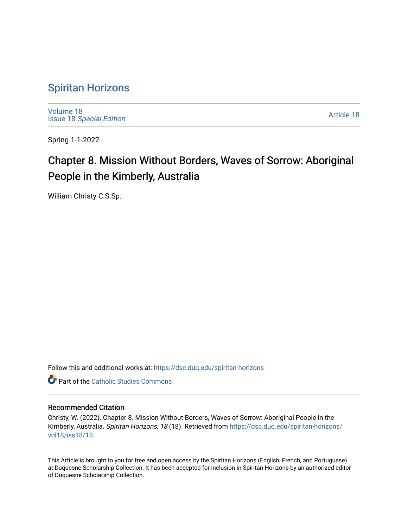## [Spiritan Horizons](https://dsc.duq.edu/spiritan-horizons)

[Volume 18](https://dsc.duq.edu/spiritan-horizons/vol18) Issue 18 [Special Edition](https://dsc.duq.edu/spiritan-horizons/vol18/iss18) 

[Article 18](https://dsc.duq.edu/spiritan-horizons/vol18/iss18/18) 

Spring 1-1-2022

# Chapter 8. Mission Without Borders, Waves of Sorrow: Aboriginal People in the Kimberly, Australia

William Christy C.S.Sp.

Follow this and additional works at: [https://dsc.duq.edu/spiritan-horizons](https://dsc.duq.edu/spiritan-horizons?utm_source=dsc.duq.edu%2Fspiritan-horizons%2Fvol18%2Fiss18%2F18&utm_medium=PDF&utm_campaign=PDFCoverPages)

**C** Part of the [Catholic Studies Commons](http://network.bepress.com/hgg/discipline/1294?utm_source=dsc.duq.edu%2Fspiritan-horizons%2Fvol18%2Fiss18%2F18&utm_medium=PDF&utm_campaign=PDFCoverPages)

#### Recommended Citation

Christy, W. (2022). Chapter 8. Mission Without Borders, Waves of Sorrow: Aboriginal People in the Kimberly, Australia. Spiritan Horizons, 18 (18). Retrieved from [https://dsc.duq.edu/spiritan-horizons/](https://dsc.duq.edu/spiritan-horizons/vol18/iss18/18?utm_source=dsc.duq.edu%2Fspiritan-horizons%2Fvol18%2Fiss18%2F18&utm_medium=PDF&utm_campaign=PDFCoverPages) [vol18/iss18/18](https://dsc.duq.edu/spiritan-horizons/vol18/iss18/18?utm_source=dsc.duq.edu%2Fspiritan-horizons%2Fvol18%2Fiss18%2F18&utm_medium=PDF&utm_campaign=PDFCoverPages) 

This Article is brought to you for free and open access by the Spiritan Horizons (English, French, and Portuguese) at Duquesne Scholarship Collection. It has been accepted for inclusion in Spiritan Horizons by an authorized editor of Duquesne Scholarship Collection.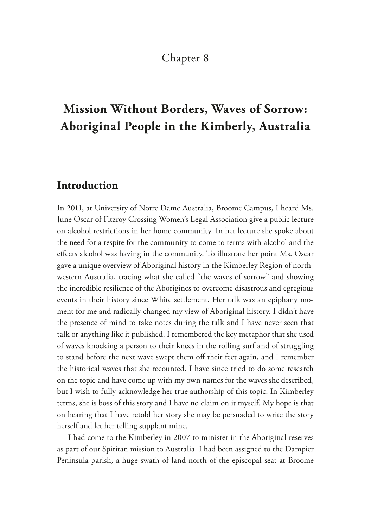#### Chapter 8

## **Mission Without Borders, Waves of Sorrow: Aboriginal People in the Kimberly, Australia**

#### **Introduction**

In 2011, at University of Notre Dame Australia, Broome Campus, I heard Ms. June Oscar of Fitzroy Crossing Women's Legal Association give a public lecture on alcohol restrictions in her home community. In her lecture she spoke about the need for a respite for the community to come to terms with alcohol and the efects alcohol was having in the community. To illustrate her point Ms. Oscar gave a unique overview of Aboriginal history in the Kimberley Region of northwestern Australia, tracing what she called "the waves of sorrow" and showing the incredible resilience of the Aborigines to overcome disastrous and egregious events in their history since White settlement. Her talk was an epiphany moment for me and radically changed my view of Aboriginal history. I didn't have the presence of mind to take notes during the talk and I have never seen that talk or anything like it published. I remembered the key metaphor that she used of waves knocking a person to their knees in the rolling surf and of struggling to stand before the next wave swept them off their feet again, and I remember the historical waves that she recounted. I have since tried to do some research on the topic and have come up with my own names for the waves she described, but I wish to fully acknowledge her true authorship of this topic. In Kimberley terms, she is boss of this story and I have no claim on it myself. My hope is that on hearing that I have retold her story she may be persuaded to write the story herself and let her telling supplant mine.

I had come to the Kimberley in 2007 to minister in the Aboriginal reserves as part of our Spiritan mission to Australia. I had been assigned to the Dampier Peninsula parish, a huge swath of land north of the episcopal seat at Broome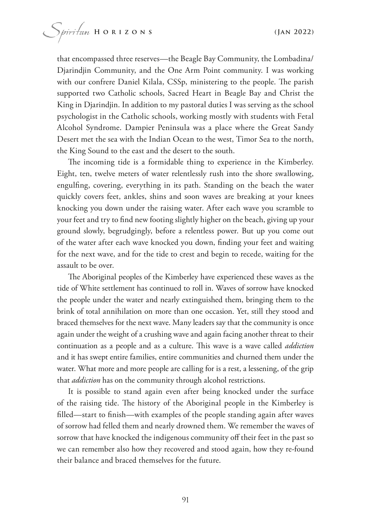that encompassed three reserves—the Beagle Bay Community, the Lombadina/ Djarindjin Community, and the One Arm Point community. I was working with our confrere Daniel Kilala, CSSp, ministering to the people. The parish supported two Catholic schools, Sacred Heart in Beagle Bay and Christ the King in Djarindjin. In addition to my pastoral duties I was serving as the school psychologist in the Catholic schools, working mostly with students with Fetal Alcohol Syndrome. Dampier Peninsula was a place where the Great Sandy Desert met the sea with the Indian Ocean to the west, Timor Sea to the north, the King Sound to the east and the desert to the south.

The incoming tide is a formidable thing to experience in the Kimberley. Eight, ten, twelve meters of water relentlessly rush into the shore swallowing, engulfng, covering, everything in its path. Standing on the beach the water quickly covers feet, ankles, shins and soon waves are breaking at your knees knocking you down under the raising water. After each wave you scramble to your feet and try to fnd new footing slightly higher on the beach, giving up your ground slowly, begrudgingly, before a relentless power. But up you come out of the water after each wave knocked you down, fnding your feet and waiting for the next wave, and for the tide to crest and begin to recede, waiting for the assault to be over.

The Aboriginal peoples of the Kimberley have experienced these waves as the tide of White settlement has continued to roll in. Waves of sorrow have knocked the people under the water and nearly extinguished them, bringing them to the brink of total annihilation on more than one occasion. Yet, still they stood and braced themselves for the next wave. Many leaders say that the community is once again under the weight of a crushing wave and again facing another threat to their continuation as a people and as a culture. This wave is a wave called *addiction* and it has swept entire families, entire communities and churned them under the water. What more and more people are calling for is a rest, a lessening, of the grip that *addiction* has on the community through alcohol restrictions.

It is possible to stand again even after being knocked under the surface of the raising tide. The history of the Aboriginal people in the Kimberley is flled—start to fnish—with examples of the people standing again after waves of sorrow had felled them and nearly drowned them. We remember the waves of sorrow that have knocked the indigenous community off their feet in the past so we can remember also how they recovered and stood again, how they re-found their balance and braced themselves for the future.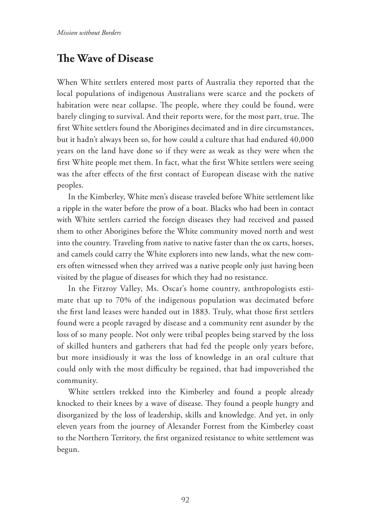### **The Wave of Disease**

When White settlers entered most parts of Australia they reported that the local populations of indigenous Australians were scarce and the pockets of habitation were near collapse. The people, where they could be found, were barely clinging to survival. And their reports were, for the most part, true. The frst White settlers found the Aborigines decimated and in dire circumstances, but it hadn't always been so, for how could a culture that had endured 40,000 years on the land have done so if they were as weak as they were when the frst White people met them. In fact, what the frst White settlers were seeing was the after efects of the frst contact of European disease with the native peoples.

In the Kimberley, White men's disease traveled before White settlement like a ripple in the water before the prow of a boat. Blacks who had been in contact with White settlers carried the foreign diseases they had received and passed them to other Aborigines before the White community moved north and west into the country. Traveling from native to native faster than the ox carts, horses, and camels could carry the White explorers into new lands, what the new comers often witnessed when they arrived was a native people only just having been visited by the plague of diseases for which they had no resistance.

In the Fitzroy Valley, Ms. Oscar's home country, anthropologists estimate that up to 70% of the indigenous population was decimated before the frst land leases were handed out in 1883. Truly, what those frst settlers found were a people ravaged by disease and a community rent asunder by the loss of so many people. Not only were tribal peoples being starved by the loss of skilled hunters and gatherers that had fed the people only years before, but more insidiously it was the loss of knowledge in an oral culture that could only with the most difficulty be regained, that had impoverished the community.

White settlers trekked into the Kimberley and found a people already knocked to their knees by a wave of disease. They found a people hungry and disorganized by the loss of leadership, skills and knowledge. And yet, in only eleven years from the journey of Alexander Forrest from the Kimberley coast to the Northern Territory, the frst organized resistance to white settlement was begun.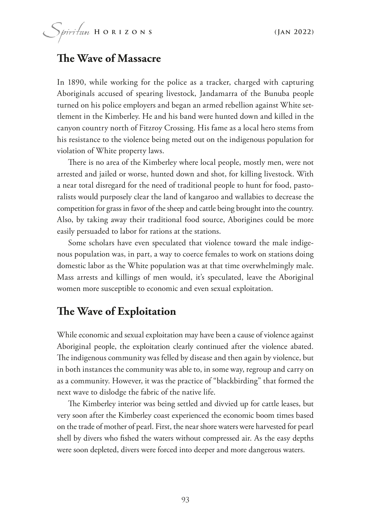#### **The Wave of Massacre**

In 1890, while working for the police as a tracker, charged with capturing Aboriginals accused of spearing livestock, Jandamarra of the Bunuba people turned on his police employers and began an armed rebellion against White settlement in the Kimberley. He and his band were hunted down and killed in the canyon country north of Fitzroy Crossing. His fame as a local hero stems from his resistance to the violence being meted out on the indigenous population for violation of White property laws.

There is no area of the Kimberley where local people, mostly men, were not arrested and jailed or worse, hunted down and shot, for killing livestock. With a near total disregard for the need of traditional people to hunt for food, pastoralists would purposely clear the land of kangaroo and wallabies to decrease the competition for grass in favor of the sheep and cattle being brought into the country. Also, by taking away their traditional food source, Aborigines could be more easily persuaded to labor for rations at the stations.

Some scholars have even speculated that violence toward the male indigenous population was, in part, a way to coerce females to work on stations doing domestic labor as the White population was at that time overwhelmingly male. Mass arrests and killings of men would, it's speculated, leave the Aboriginal women more susceptible to economic and even sexual exploitation.

#### **The Wave of Exploitation**

While economic and sexual exploitation may have been a cause of violence against Aboriginal people, the exploitation clearly continued after the violence abated. The indigenous community was felled by disease and then again by violence, but in both instances the community was able to, in some way, regroup and carry on as a community. However, it was the practice of "blackbirding" that formed the next wave to dislodge the fabric of the native life.

The Kimberley interior was being settled and divvied up for cattle leases, but very soon after the Kimberley coast experienced the economic boom times based on the trade of mother of pearl. First, the near shore waters were harvested for pearl shell by divers who fshed the waters without compressed air. As the easy depths were soon depleted, divers were forced into deeper and more dangerous waters.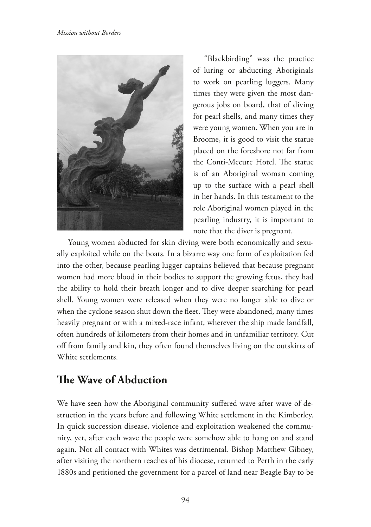

"Blackbirding" was the practice of luring or abducting Aboriginals to work on pearling luggers. Many times they were given the most dangerous jobs on board, that of diving for pearl shells, and many times they were young women. When you are in Broome, it is good to visit the statue placed on the foreshore not far from the Conti-Mecure Hotel. The statue is of an Aboriginal woman coming up to the surface with a pearl shell in her hands. In this testament to the role Aboriginal women played in the pearling industry, it is important to note that the diver is pregnant.

Young women abducted for skin diving were both economically and sexually exploited while on the boats. In a bizarre way one form of exploitation fed into the other, because pearling lugger captains believed that because pregnant women had more blood in their bodies to support the growing fetus, they had the ability to hold their breath longer and to dive deeper searching for pearl shell. Young women were released when they were no longer able to dive or when the cyclone season shut down the fleet. They were abandoned, many times heavily pregnant or with a mixed-race infant, wherever the ship made landfall, often hundreds of kilometers from their homes and in unfamiliar territory. Cut of from family and kin, they often found themselves living on the outskirts of White settlements.

### **The Wave of Abduction**

We have seen how the Aboriginal community suffered wave after wave of destruction in the years before and following White settlement in the Kimberley. In quick succession disease, violence and exploitation weakened the community, yet, after each wave the people were somehow able to hang on and stand again. Not all contact with Whites was detrimental. Bishop Matthew Gibney, after visiting the northern reaches of his diocese, returned to Perth in the early 1880s and petitioned the government for a parcel of land near Beagle Bay to be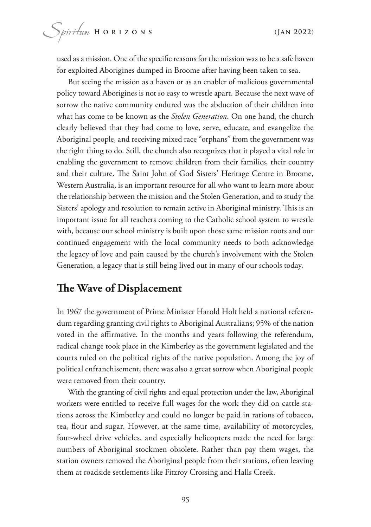used as a mission. One of the specifc reasons for the mission was to be a safe haven for exploited Aborigines dumped in Broome after having been taken to sea.

But seeing the mission as a haven or as an enabler of malicious governmental policy toward Aborigines is not so easy to wrestle apart. Because the next wave of sorrow the native community endured was the abduction of their children into what has come to be known as the *Stolen Generation*. On one hand, the church clearly believed that they had come to love, serve, educate, and evangelize the Aboriginal people, and receiving mixed race "orphans" from the government was the right thing to do. Still, the church also recognizes that it played a vital role in enabling the government to remove children from their families, their country and their culture. The Saint John of God Sisters' Heritage Centre in Broome, Western Australia, is an important resource for all who want to learn more about the relationship between the mission and the Stolen Generation, and to study the Sisters' apology and resolution to remain active in Aboriginal ministry. This is an important issue for all teachers coming to the Catholic school system to wrestle with, because our school ministry is built upon those same mission roots and our continued engagement with the local community needs to both acknowledge the legacy of love and pain caused by the church's involvement with the Stolen Generation, a legacy that is still being lived out in many of our schools today.

#### **The Wave of Displacement**

In 1967 the government of Prime Minister Harold Holt held a national referendum regarding granting civil rights to Aboriginal Australians; 95% of the nation voted in the affirmative. In the months and years following the referendum, radical change took place in the Kimberley as the government legislated and the courts ruled on the political rights of the native population. Among the joy of political enfranchisement, there was also a great sorrow when Aboriginal people were removed from their country.

With the granting of civil rights and equal protection under the law, Aboriginal workers were entitled to receive full wages for the work they did on cattle stations across the Kimberley and could no longer be paid in rations of tobacco, tea, four and sugar. However, at the same time, availability of motorcycles, four-wheel drive vehicles, and especially helicopters made the need for large numbers of Aboriginal stockmen obsolete. Rather than pay them wages, the station owners removed the Aboriginal people from their stations, often leaving them at roadside settlements like Fitzroy Crossing and Halls Creek.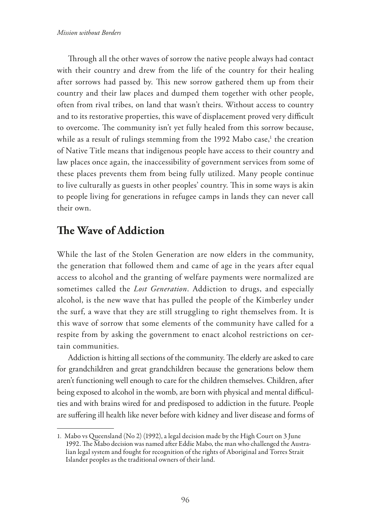Through all the other waves of sorrow the native people always had contact with their country and drew from the life of the country for their healing after sorrows had passed by. This new sorrow gathered them up from their country and their law places and dumped them together with other people, often from rival tribes, on land that wasn't theirs. Without access to country and to its restorative properties, this wave of displacement proved very difficult to overcome. The community isn't yet fully healed from this sorrow because, while as a result of rulings stemming from the 1992 Mabo case,<sup>1</sup> the creation of Native Title means that indigenous people have access to their country and law places once again, the inaccessibility of government services from some of these places prevents them from being fully utilized. Many people continue to live culturally as guests in other peoples' country. This in some ways is akin to people living for generations in refugee camps in lands they can never call their own.

### **The Wave of Addiction**

While the last of the Stolen Generation are now elders in the community, the generation that followed them and came of age in the years after equal access to alcohol and the granting of welfare payments were normalized are sometimes called the *Lost Generation*. Addiction to drugs, and especially alcohol, is the new wave that has pulled the people of the Kimberley under the surf, a wave that they are still struggling to right themselves from. It is this wave of sorrow that some elements of the community have called for a respite from by asking the government to enact alcohol restrictions on certain communities.

Addiction is hitting all sections of the community. The elderly are asked to care for grandchildren and great grandchildren because the generations below them aren't functioning well enough to care for the children themselves. Children, after being exposed to alcohol in the womb, are born with physical and mental difficulties and with brains wired for and predisposed to addiction in the future. People are sufering ill health like never before with kidney and liver disease and forms of

<sup>1.</sup> Mabo vs Queensland (No 2) (1992), a legal decision made by the High Court on 3 June 1992. The Mabo decision was named after Eddie Mabo, the man who challenged the Australian legal system and fought for recognition of the rights of Aboriginal and Torres Strait Islander peoples as the traditional owners of their land.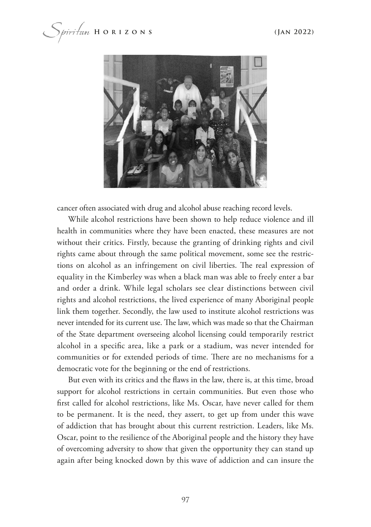$\mu$  *i*  $\mu$   $\mu$  **H** o r i z o n s (Jan 2022)



cancer often associated with drug and alcohol abuse reaching record levels.

While alcohol restrictions have been shown to help reduce violence and ill health in communities where they have been enacted, these measures are not without their critics. Firstly, because the granting of drinking rights and civil rights came about through the same political movement, some see the restrictions on alcohol as an infringement on civil liberties. The real expression of equality in the Kimberley was when a black man was able to freely enter a bar and order a drink. While legal scholars see clear distinctions between civil rights and alcohol restrictions, the lived experience of many Aboriginal people link them together. Secondly, the law used to institute alcohol restrictions was never intended for its current use. The law, which was made so that the Chairman of the State department overseeing alcohol licensing could temporarily restrict alcohol in a specifc area, like a park or a stadium, was never intended for communities or for extended periods of time. There are no mechanisms for a democratic vote for the beginning or the end of restrictions.

But even with its critics and the faws in the law, there is, at this time, broad support for alcohol restrictions in certain communities. But even those who frst called for alcohol restrictions, like Ms. Oscar, have never called for them to be permanent. It is the need, they assert, to get up from under this wave of addiction that has brought about this current restriction. Leaders, like Ms. Oscar, point to the resilience of the Aboriginal people and the history they have of overcoming adversity to show that given the opportunity they can stand up again after being knocked down by this wave of addiction and can insure the